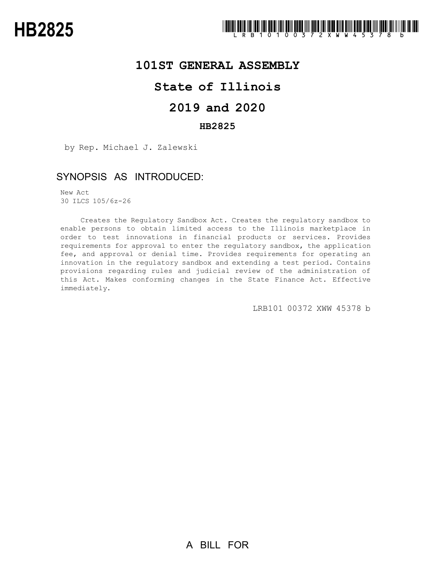

### **101ST GENERAL ASSEMBLY**

# **State of Illinois**

### **2019 and 2020**

### **HB2825**

by Rep. Michael J. Zalewski

# SYNOPSIS AS INTRODUCED:

New Act 30 ILCS 105/6z-26

Creates the Regulatory Sandbox Act. Creates the regulatory sandbox to enable persons to obtain limited access to the Illinois marketplace in order to test innovations in financial products or services. Provides requirements for approval to enter the regulatory sandbox, the application fee, and approval or denial time. Provides requirements for operating an innovation in the regulatory sandbox and extending a test period. Contains provisions regarding rules and judicial review of the administration of this Act. Makes conforming changes in the State Finance Act. Effective immediately.

LRB101 00372 XWW 45378 b

A BILL FOR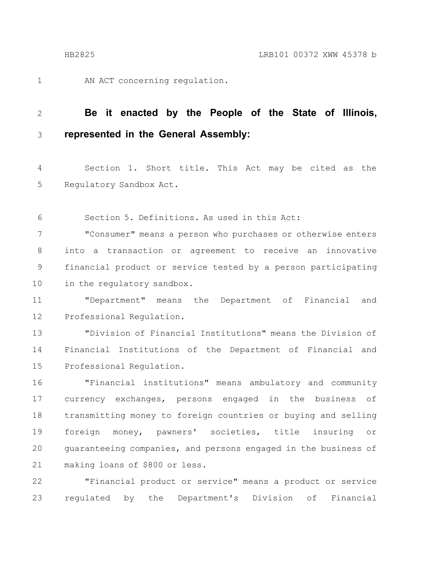1

AN ACT concerning regulation.

#### **Be it enacted by the People of the State of Illinois, represented in the General Assembly:** 2 3

Section 1. Short title. This Act may be cited as the Regulatory Sandbox Act. 4 5

Section 5. Definitions. As used in this Act: 6

"Consumer" means a person who purchases or otherwise enters into a transaction or agreement to receive an innovative financial product or service tested by a person participating in the regulatory sandbox. 7 8 9 10

"Department" means the Department of Financial and Professional Regulation. 11 12

"Division of Financial Institutions" means the Division of Financial Institutions of the Department of Financial and Professional Regulation. 13 14 15

"Financial institutions" means ambulatory and community currency exchanges, persons engaged in the business of transmitting money to foreign countries or buying and selling foreign money, pawners' societies, title insuring or guaranteeing companies, and persons engaged in the business of making loans of \$800 or less. 16 17 18 19 20 21

"Financial product or service" means a product or service regulated by the Department's Division of Financial 22 23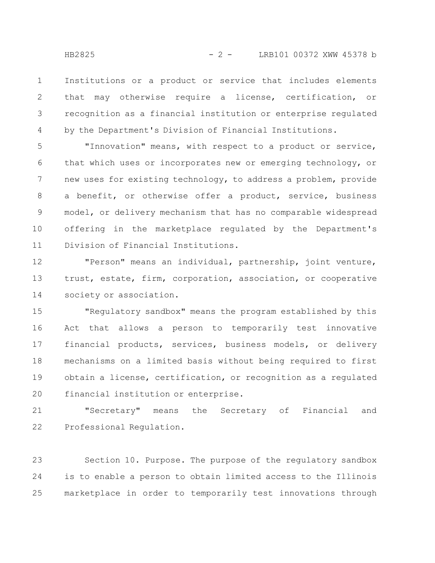Institutions or a product or service that includes elements that may otherwise require a license, certification, or recognition as a financial institution or enterprise regulated by the Department's Division of Financial Institutions. 1 2 3 4

"Innovation" means, with respect to a product or service, that which uses or incorporates new or emerging technology, or new uses for existing technology, to address a problem, provide a benefit, or otherwise offer a product, service, business model, or delivery mechanism that has no comparable widespread offering in the marketplace regulated by the Department's Division of Financial Institutions. 5 6 7 8 9 10 11

"Person" means an individual, partnership, joint venture, trust, estate, firm, corporation, association, or cooperative society or association. 12 13 14

"Regulatory sandbox" means the program established by this Act that allows a person to temporarily test innovative financial products, services, business models, or delivery mechanisms on a limited basis without being required to first obtain a license, certification, or recognition as a regulated financial institution or enterprise. 15 16 17 18 19 20

"Secretary" means the Secretary of Financial and Professional Regulation. 21 22

Section 10. Purpose. The purpose of the regulatory sandbox is to enable a person to obtain limited access to the Illinois marketplace in order to temporarily test innovations through 23 24 25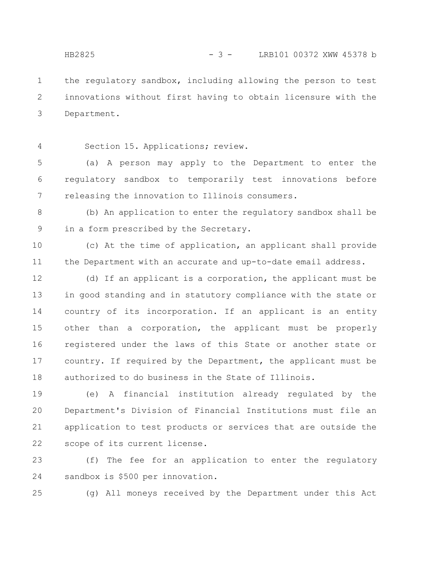the regulatory sandbox, including allowing the person to test innovations without first having to obtain licensure with the Department. 1 2 3

4

Section 15. Applications; review.

(a) A person may apply to the Department to enter the regulatory sandbox to temporarily test innovations before releasing the innovation to Illinois consumers. 5 6 7

(b) An application to enter the regulatory sandbox shall be in a form prescribed by the Secretary. 8 9

(c) At the time of application, an applicant shall provide the Department with an accurate and up-to-date email address. 10 11

(d) If an applicant is a corporation, the applicant must be in good standing and in statutory compliance with the state or country of its incorporation. If an applicant is an entity other than a corporation, the applicant must be properly registered under the laws of this State or another state or country. If required by the Department, the applicant must be authorized to do business in the State of Illinois. 12 13 14 15 16 17 18

(e) A financial institution already regulated by the Department's Division of Financial Institutions must file an application to test products or services that are outside the scope of its current license. 19 20 21 22

(f) The fee for an application to enter the regulatory sandbox is \$500 per innovation. 23 24

25

(g) All moneys received by the Department under this Act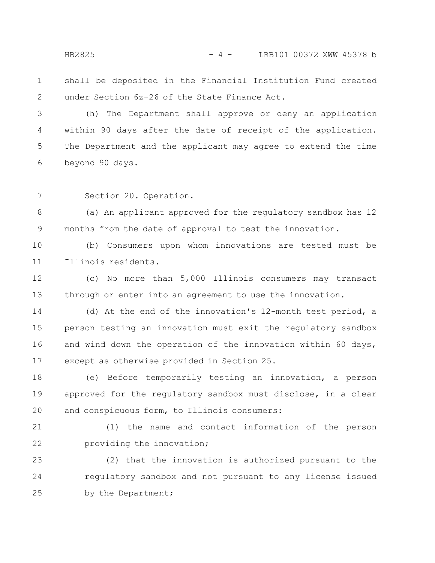#### HB2825 - 4 - LRB101 00372 XWW 45378 b

shall be deposited in the Financial Institution Fund created under Section 6z-26 of the State Finance Act. 1 2

(h) The Department shall approve or deny an application within 90 days after the date of receipt of the application. The Department and the applicant may agree to extend the time beyond 90 days. 3 4 5 6

Section 20. Operation. 7

(a) An applicant approved for the regulatory sandbox has 12 months from the date of approval to test the innovation. 8 9

(b) Consumers upon whom innovations are tested must be Illinois residents. 10 11

(c) No more than 5,000 Illinois consumers may transact through or enter into an agreement to use the innovation. 12 13

(d) At the end of the innovation's 12-month test period, a person testing an innovation must exit the regulatory sandbox and wind down the operation of the innovation within 60 days, except as otherwise provided in Section 25. 14 15 16 17

(e) Before temporarily testing an innovation, a person approved for the regulatory sandbox must disclose, in a clear and conspicuous form, to Illinois consumers: 18 19 20

(1) the name and contact information of the person providing the innovation; 21 22

(2) that the innovation is authorized pursuant to the regulatory sandbox and not pursuant to any license issued by the Department; 23 24 25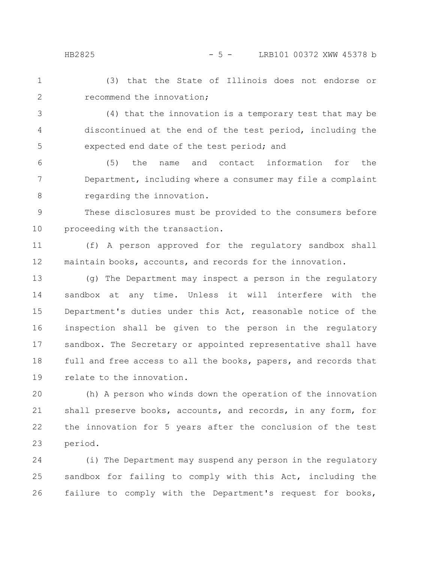(3) that the State of Illinois does not endorse or recommend the innovation; 1 2

(4) that the innovation is a temporary test that may be discontinued at the end of the test period, including the expected end date of the test period; and 3 4 5

(5) the name and contact information for the Department, including where a consumer may file a complaint regarding the innovation. 6 7 8

These disclosures must be provided to the consumers before proceeding with the transaction. 9 10

(f) A person approved for the regulatory sandbox shall maintain books, accounts, and records for the innovation. 11 12

(g) The Department may inspect a person in the regulatory sandbox at any time. Unless it will interfere with the Department's duties under this Act, reasonable notice of the inspection shall be given to the person in the regulatory sandbox. The Secretary or appointed representative shall have full and free access to all the books, papers, and records that relate to the innovation. 13 14 15 16 17 18 19

(h) A person who winds down the operation of the innovation shall preserve books, accounts, and records, in any form, for the innovation for 5 years after the conclusion of the test period. 20 21 22 23

(i) The Department may suspend any person in the regulatory sandbox for failing to comply with this Act, including the failure to comply with the Department's request for books, 24 25 26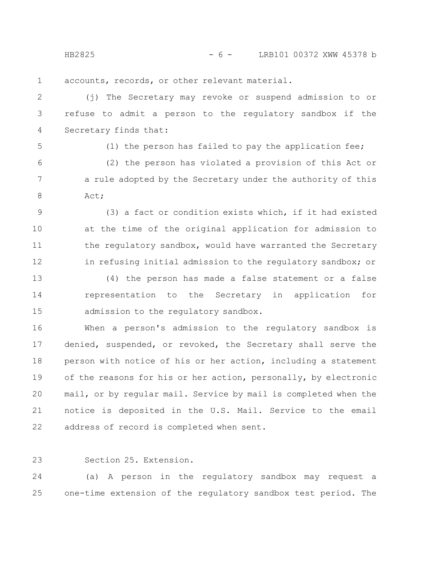HB2825 - 6 - LRB101 00372 XWW 45378 b

accounts, records, or other relevant material. 1

(j) The Secretary may revoke or suspend admission to or refuse to admit a person to the regulatory sandbox if the Secretary finds that: 2 3 4

5

(1) the person has failed to pay the application fee;

(2) the person has violated a provision of this Act or a rule adopted by the Secretary under the authority of this Act; 6 7 8

(3) a fact or condition exists which, if it had existed at the time of the original application for admission to the regulatory sandbox, would have warranted the Secretary in refusing initial admission to the regulatory sandbox; or 9 10 11 12

(4) the person has made a false statement or a false representation to the Secretary in application for admission to the regulatory sandbox. 13 14 15

When a person's admission to the regulatory sandbox is denied, suspended, or revoked, the Secretary shall serve the person with notice of his or her action, including a statement of the reasons for his or her action, personally, by electronic mail, or by regular mail. Service by mail is completed when the notice is deposited in the U.S. Mail. Service to the email address of record is completed when sent. 16 17 18 19 20 21 22

23

Section 25. Extension.

(a) A person in the regulatory sandbox may request a one-time extension of the regulatory sandbox test period. The 24 25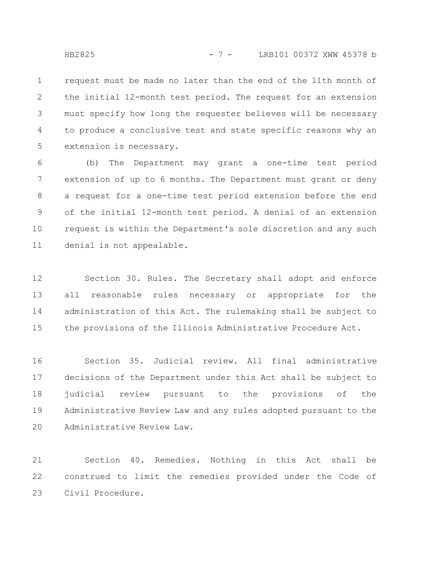request must be made no later than the end of the 11th month of the initial 12-month test period. The request for an extension must specify how long the requester believes will be necessary to produce a conclusive test and state specific reasons why an extension is necessary. 1 2 3 4 5

(b) The Department may grant a one-time test period extension of up to 6 months. The Department must grant or deny a request for a one-time test period extension before the end of the initial 12-month test period. A denial of an extension request is within the Department's sole discretion and any such denial is not appealable. 6 7 8 9 10 11

Section 30. Rules. The Secretary shall adopt and enforce all reasonable rules necessary or appropriate for the administration of this Act. The rulemaking shall be subject to the provisions of the Illinois Administrative Procedure Act. 12 13 14 15

Section 35. Judicial review. All final administrative decisions of the Department under this Act shall be subject to judicial review pursuant to the provisions of the Administrative Review Law and any rules adopted pursuant to the Administrative Review Law. 16 17 18 19 20

Section 40. Remedies. Nothing in this Act shall be construed to limit the remedies provided under the Code of Civil Procedure. 21 22 23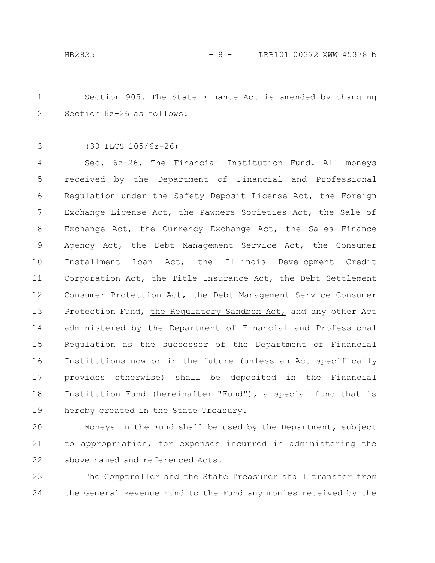Section 905. The State Finance Act is amended by changing Section 6z-26 as follows: 1 2

(30 ILCS 105/6z-26) 3

Sec. 6z-26. The Financial Institution Fund. All moneys received by the Department of Financial and Professional Regulation under the Safety Deposit License Act, the Foreign Exchange License Act, the Pawners Societies Act, the Sale of Exchange Act, the Currency Exchange Act, the Sales Finance Agency Act, the Debt Management Service Act, the Consumer Installment Loan Act, the Illinois Development Credit Corporation Act, the Title Insurance Act, the Debt Settlement Consumer Protection Act, the Debt Management Service Consumer Protection Fund, the Regulatory Sandbox Act, and any other Act administered by the Department of Financial and Professional Regulation as the successor of the Department of Financial Institutions now or in the future (unless an Act specifically provides otherwise) shall be deposited in the Financial Institution Fund (hereinafter "Fund"), a special fund that is hereby created in the State Treasury. 4 5 6 7 8 9 10 11 12 13 14 15 16 17 18 19

Moneys in the Fund shall be used by the Department, subject to appropriation, for expenses incurred in administering the above named and referenced Acts. 20 21 22

The Comptroller and the State Treasurer shall transfer from the General Revenue Fund to the Fund any monies received by the 23 24